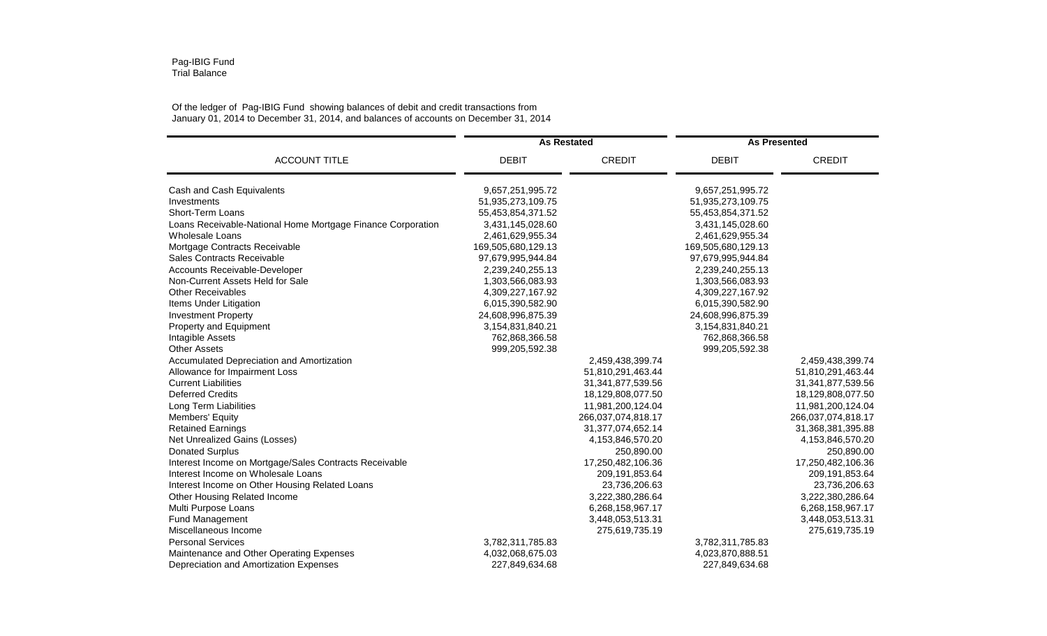## Pag-IBIG Fund Trial Balance

## Of the ledger of Pag-IBIG Fund showing balances of debit and credit transactions from January 01, 2014 to December 31, 2014, and balances of accounts on December 31, 2014

| <b>ACCOUNT TITLE</b>                                        | <b>As Restated</b> |                       | <b>As Presented</b> |                    |
|-------------------------------------------------------------|--------------------|-----------------------|---------------------|--------------------|
|                                                             | <b>DEBIT</b>       | <b>CREDIT</b>         | <b>DEBIT</b>        | <b>CREDIT</b>      |
| Cash and Cash Equivalents                                   | 9,657,251,995.72   |                       | 9,657,251,995.72    |                    |
| Investments                                                 | 51,935,273,109.75  |                       | 51,935,273,109.75   |                    |
| Short-Term Loans                                            | 55,453,854,371.52  |                       | 55,453,854,371.52   |                    |
| Loans Receivable-National Home Mortgage Finance Corporation | 3,431,145,028.60   |                       | 3,431,145,028.60    |                    |
| Wholesale Loans                                             | 2,461,629,955.34   |                       | 2,461,629,955.34    |                    |
| Mortgage Contracts Receivable                               | 169,505,680,129.13 |                       | 169,505,680,129.13  |                    |
| Sales Contracts Receivable                                  | 97,679,995,944.84  |                       | 97,679,995,944.84   |                    |
| Accounts Receivable-Developer                               | 2,239,240,255.13   |                       | 2,239,240,255.13    |                    |
| Non-Current Assets Held for Sale                            | 1,303,566,083.93   |                       | 1,303,566,083.93    |                    |
| <b>Other Receivables</b>                                    | 4,309,227,167.92   |                       | 4,309,227,167.92    |                    |
| Items Under Litigation                                      | 6,015,390,582.90   |                       | 6,015,390,582.90    |                    |
| <b>Investment Property</b>                                  | 24,608,996,875.39  |                       | 24,608,996,875.39   |                    |
| <b>Property and Equipment</b>                               | 3,154,831,840.21   |                       | 3,154,831,840.21    |                    |
| Intagible Assets                                            | 762,868,366.58     |                       | 762,868,366.58      |                    |
| <b>Other Assets</b>                                         | 999,205,592.38     |                       | 999,205,592.38      |                    |
| Accumulated Depreciation and Amortization                   |                    | 2,459,438,399.74      |                     | 2,459,438,399.74   |
| Allowance for Impairment Loss                               |                    | 51,810,291,463.44     |                     | 51,810,291,463.44  |
| <b>Current Liabilities</b>                                  |                    | 31,341,877,539.56     |                     | 31,341,877,539.56  |
| <b>Deferred Credits</b>                                     |                    | 18,129,808,077.50     |                     | 18,129,808,077.50  |
| Long Term Liabilities                                       |                    | 11,981,200,124.04     |                     | 11,981,200,124.04  |
| Members' Equity                                             |                    | 266,037,074,818.17    |                     | 266,037,074,818.17 |
| <b>Retained Earnings</b>                                    |                    | 31, 377, 074, 652. 14 |                     | 31,368,381,395.88  |
| Net Unrealized Gains (Losses)                               |                    | 4,153,846,570.20      |                     | 4,153,846,570.20   |
| <b>Donated Surplus</b>                                      |                    | 250,890.00            |                     | 250,890.00         |
| Interest Income on Mortgage/Sales Contracts Receivable      |                    | 17,250,482,106.36     |                     | 17,250,482,106.36  |
| Interest Income on Wholesale Loans                          |                    | 209,191,853.64        |                     | 209,191,853.64     |
| Interest Income on Other Housing Related Loans              |                    | 23,736,206.63         |                     | 23,736,206.63      |
| Other Housing Related Income                                |                    | 3,222,380,286.64      |                     | 3,222,380,286.64   |
| Multi Purpose Loans                                         |                    | 6,268,158,967.17      |                     | 6,268,158,967.17   |
| Fund Management                                             |                    | 3,448,053,513.31      |                     | 3,448,053,513.31   |
| Miscellaneous Income                                        |                    | 275,619,735.19        |                     | 275,619,735.19     |
| <b>Personal Services</b>                                    | 3,782,311,785.83   |                       | 3,782,311,785.83    |                    |
| Maintenance and Other Operating Expenses                    | 4,032,068,675.03   |                       | 4,023,870,888.51    |                    |
| Depreciation and Amortization Expenses                      | 227,849,634.68     |                       | 227,849,634.68      |                    |